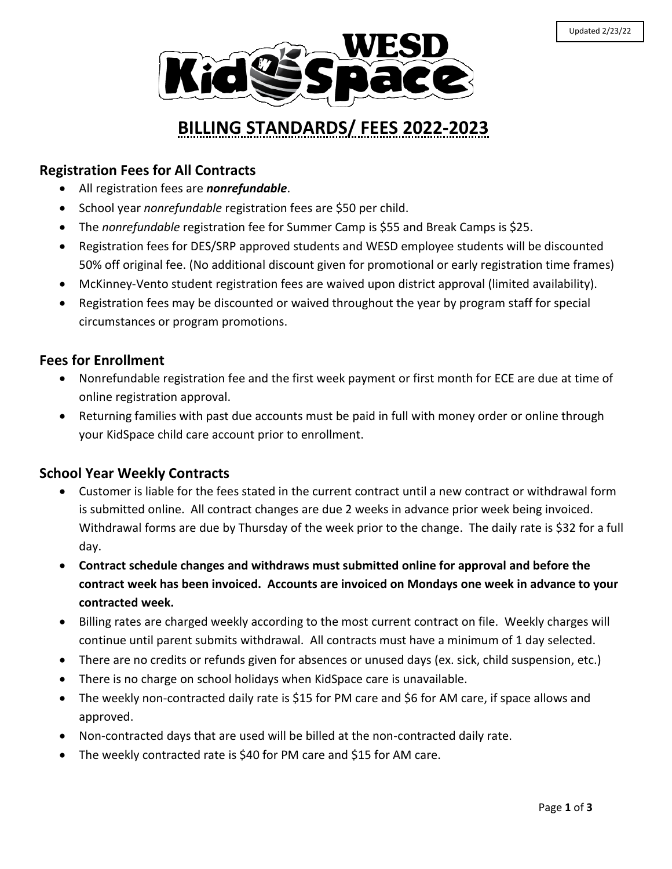

# **BILLING STANDARDS/ FEES 2022-2023**

### **Registration Fees for All Contracts**

- All registration fees are *nonrefundable*.
- **School year** *nonrefundable* registration fees are \$50 per child.
- The *nonrefundable* registration fee for Summer Camp is \$55 and Break Camps is \$25.
- Registration fees for DES/SRP approved students and WESD employee students will be discounted 50% off original fee. (No additional discount given for promotional or early registration time frames)
- McKinney-Vento student registration fees are waived upon district approval (limited availability).
- Registration fees may be discounted or waived throughout the year by program staff for special circumstances or program promotions.

#### **Fees for Enrollment**

- Nonrefundable registration fee and the first week payment or first month for ECE are due at time of online registration approval.
- Returning families with past due accounts must be paid in full with money order or online through your KidSpace child care account prior to enrollment.

### **School Year Weekly Contracts**

- Customer is liable for the fees stated in the current contract until a new contract or withdrawal form is submitted online. All contract changes are due 2 weeks in advance prior week being invoiced. Withdrawal forms are due by Thursday of the week prior to the change. The daily rate is \$32 for a full day.
- **Contract schedule changes and withdraws must submitted online for approval and before the contract week has been invoiced. Accounts are invoiced on Mondays one week in advance to your contracted week.**
- Billing rates are charged weekly according to the most current contract on file. Weekly charges will continue until parent submits withdrawal. All contracts must have a minimum of 1 day selected.
- There are no credits or refunds given for absences or unused days (ex. sick, child suspension, etc.)
- There is no charge on school holidays when KidSpace care is unavailable.
- The weekly non-contracted daily rate is \$15 for PM care and \$6 for AM care, if space allows and approved.
- Non-contracted days that are used will be billed at the non-contracted daily rate.
- The weekly contracted rate is \$40 for PM care and \$15 for AM care.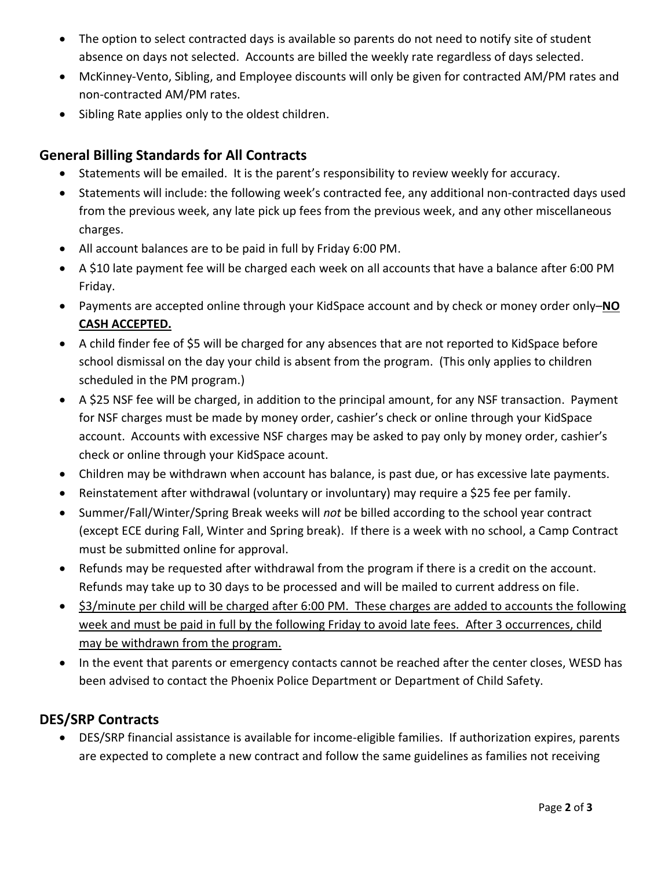- The option to select contracted days is available so parents do not need to notify site of student absence on days not selected. Accounts are billed the weekly rate regardless of days selected.
- McKinney-Vento, Sibling, and Employee discounts will only be given for contracted AM/PM rates and non-contracted AM/PM rates.
- Sibling Rate applies only to the oldest children.

## **General Billing Standards for All Contracts**

- Statements will be emailed. It is the parent's responsibility to review weekly for accuracy.
- Statements will include: the following week's contracted fee, any additional non-contracted days used from the previous week, any late pick up fees from the previous week, and any other miscellaneous charges.
- All account balances are to be paid in full by Friday 6:00 PM.
- A \$10 late payment fee will be charged each week on all accounts that have a balance after 6:00 PM Friday.
- Payments are accepted online through your KidSpace account and by check or money order only–**NO CASH ACCEPTED.**
- A child finder fee of \$5 will be charged for any absences that are not reported to KidSpace before school dismissal on the day your child is absent from the program. (This only applies to children scheduled in the PM program.)
- A \$25 NSF fee will be charged, in addition to the principal amount, for any NSF transaction. Payment for NSF charges must be made by money order, cashier's check or online through your KidSpace account. Accounts with excessive NSF charges may be asked to pay only by money order, cashier's check or online through your KidSpace acount.
- Children may be withdrawn when account has balance, is past due, or has excessive late payments.
- Reinstatement after withdrawal (voluntary or involuntary) may require a \$25 fee per family.
- Summer/Fall/Winter/Spring Break weeks will *not* be billed according to the school year contract (except ECE during Fall, Winter and Spring break). If there is a week with no school, a Camp Contract must be submitted online for approval.
- Refunds may be requested after withdrawal from the program if there is a credit on the account. Refunds may take up to 30 days to be processed and will be mailed to current address on file.
- \$3/minute per child will be charged after 6:00 PM. These charges are added to accounts the following week and must be paid in full by the following Friday to avoid late fees. After 3 occurrences, child may be withdrawn from the program.
- In the event that parents or emergency contacts cannot be reached after the center closes, WESD has been advised to contact the Phoenix Police Department or Department of Child Safety.

## **DES/SRP Contracts**

 DES/SRP financial assistance is available for income-eligible families. If authorization expires, parents are expected to complete a new contract and follow the same guidelines as families not receiving